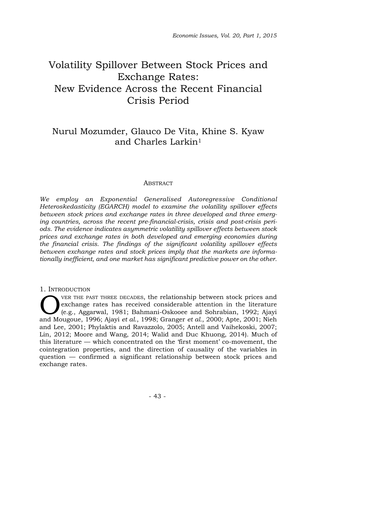# Volatility Spillover Between Stock Prices and Exchange Rates: New Evidence Across the Recent Financial Crisis Period

# Nurul Mozumder, Glauco De Vita, Khine S. Kyaw and Charles Larkin1

#### **ABSTRACT**

*We employ an Exponential Generalised Autoregressive Conditional Heteroskedasticity (EGARCH) model to examine the volatility spillover effects between stock prices and exchange rates in three developed and three emerging countries, across the recent pre-financial-crisis, crisis and post-crisis periods. The evidence indicates asymmetric volatility spillover effects between stock prices and exchange rates in both developed and emerging economies during the financial crisis. The findings of the significant volatility spillover effects between exchange rates and stock prices imply that the markets are informationally inefficient, and one market has significant predictive power on the other.*

#### 1. INTRODUCTION

VER THE PAST THREE DECADES, the relationship between stock prices and exchange rates has received considerable attention in the literature (e.g., Aggarwal, 1981; Bahmani-Oskooee and Sohrabian, 1992; Ajayi exchange rates has received considerable attention in the literature (e.g., Aggarwal, 1981; Bahmani-Oskooee and Sohrabian, 1992; Ajayi and Mougoue, 1996; Ajayi *et al*., 1998; Granger *et al.*, 2000; Apte, 2001; Nieh and Lee, 2001; Phylaktis and Ravazzolo, 2005; Antell and Vaihekoski, 2007; Lin, 2012; Moore and Wang, 2014; Walid and Duc Khuong, 2014). Much of this literature — which concentrated on the 'first moment' co-movement, the cointegration properties, and the direction of causality of the variables in question — confirmed a significant relationship between stock prices and exchange rates.

- 43 -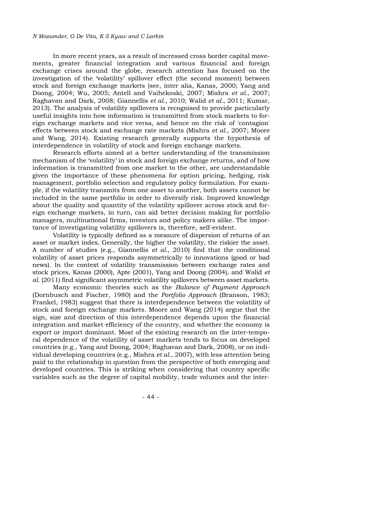#### *N Mozumder, G De Vita, K S Kyaw and C Larkin*

In more recent years, as a result of increased cross border capital movements, greater financial integration and various financial and foreign exchange crises around the globe, research attention has focused on the investigation of the 'volatility' spillover effect (the second moment) between stock and foreign exchange markets (see, inter alia, Kanas, 2000; Yang and Doong, 2004; Wu, 2005; Antell and Vaihekoski, 2007; Mishra *et al.*, 2007; Raghavan and Dark, 2008; Giannellis *et al*., 2010; Walid *et al.*, 2011; Kumar, 2013). The analysis of volatility spillovers is recognised to provide particularly useful insights into how information is transmitted from stock markets to foreign exchange markets and vice versa, and hence on the risk of 'contagion' effects between stock and exchange rate markets (Mishra *et al.*, 2007; Moore and Wang, 2014). Existing research generally supports the hypothesis of interdependence in volatility of stock and foreign exchange markets.

Research efforts aimed at a better understanding of the transmission mechanism of the 'volatility' in stock and foreign exchange returns, and of how information is transmitted from one market to the other, are understandable given the importance of these phenomena for option pricing, hedging, risk management, portfolio selection and regulatory policy formulation. For example, if the volatility transmits from one asset to another, both assets cannot be included in the same portfolio in order to diversify risk. Improved knowledge about the quality and quantity of the volatility spillover across stock and foreign exchange markets, in turn, can aid better decision making for portfolio managers, multinational firms, investors and policy makers alike. The importance of investigating volatility spillovers is, therefore, self-evident.

Volatility is typically defined as a measure of dispersion of returns of an asset or market index. Generally, the higher the volatility, the riskier the asset. A number of studies (e.g., Giannellis *et al.*, 2010) find that the conditional volatility of asset prices responds asymmetrically to innovations (good or bad news). In the context of volatility transmission between exchange rates and stock prices, Kanas (2000), Apte (2001), Yang and Doong (2004), and Walid *et al*. (2011) find significant asymmetric volatility spillovers between asset markets.

Many economic theories such as the *Balance of Payment Approach* (Dornbusch and Fischer, 1980) and the *Portfolio Approach* (Branson, 1983; Frankel, 1983) suggest that there is interdependence between the volatility of stock and foreign exchange markets. Moore and Wang (2014) argue that the sign, size and direction of this interdependence depends upon the financial integration and market efficiency of the country, and whether the economy is export or import dominant. Most of the existing research on the inter-temporal dependence of the volatility of asset markets tends to focus on developed countries (e.g., Yang and Doong, 2004; Raghavan and Dark, 2008), or on individual developing countries (e.g., Mishra *et al*., 2007), with less attention being paid to the relationship in question from the perspective of both emerging and developed countries. This is striking when considering that country specific variables such as the degree of capital mobility, trade volumes and the inter-

- 44 -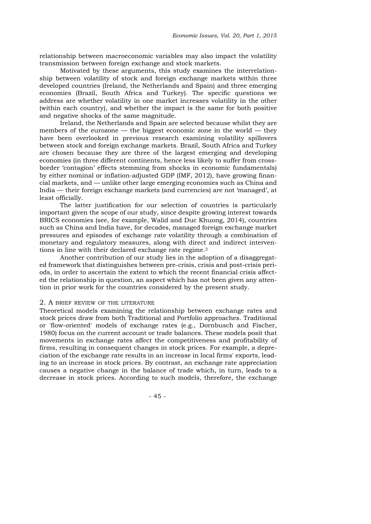relationship between macroeconomic variables may also impact the volatility transmission between foreign exchange and stock markets.

Motivated by these arguments, this study examines the interrelationship between volatility of stock and foreign exchange markets within three developed countries (Ireland, the Netherlands and Spain) and three emerging economies (Brazil, South Africa and Turkey). The specific questions we address are whether volatility in one market increases volatility in the other (within each country), and whether the impact is the same for both positive and negative shocks of the same magnitude.

Ireland, the Netherlands and Spain are selected because whilst they are members of the eurozone — the biggest economic zone in the world — they have been overlooked in previous research examining volatility spillovers between stock and foreign exchange markets. Brazil, South Africa and Turkey are chosen because they are three of the largest emerging and developing economies (in three different continents, hence less likely to suffer from crossborder 'contagion' effects stemming from shocks in economic fundamentals) by either nominal or inflation-adjusted GDP (IMF, 2012), have growing financial markets, and — unlike other large emerging economies such as China and India — their foreign exchange markets (and currencies) are not 'managed', at least officially.

The latter justification for our selection of countries is particularly important given the scope of our study, since despite growing interest towards BRICS economies (see, for example, Walid and Duc Khuong, 2014), countries such as China and India have, for decades, managed foreign exchange market pressures and episodes of exchange rate volatility through a combination of monetary and regulatory measures, along with direct and indirect interventions in line with their declared exchange rate regime.2

Another contribution of our study lies in the adoption of a disaggregated framework that distinguishes between pre-crisis, crisis and post-crisis periods, in order to ascertain the extent to which the recent financial crisis affected the relationship in question, an aspect which has not been given any attention in prior work for the countries considered by the present study.

#### 2. A BRIEF REVIEW OF THE LITERATURE

Theoretical models examining the relationship between exchange rates and stock prices draw from both Traditional and Portfolio approaches. Traditional or 'flow-oriented' models of exchange rates (e.g., Dornbusch and Fischer, 1980) focus on the current account or trade balances. These models posit that movements in exchange rates affect the competitiveness and profitability of firms, resulting in consequent changes in stock prices. For example, a depreciation of the exchange rate results in an increase in local firms' exports, leading to an increase in stock prices. By contrast, an exchange rate appreciation causes a negative change in the balance of trade which, in turn, leads to a decrease in stock prices. According to such models, therefore, the exchange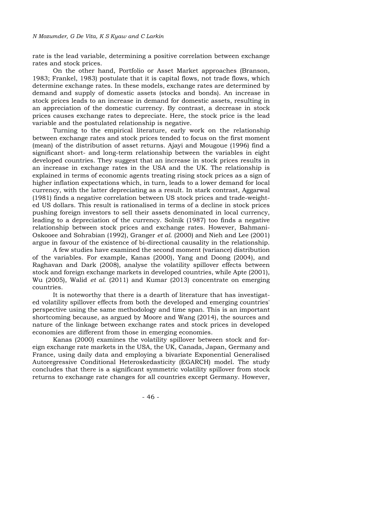rate is the lead variable, determining a positive correlation between exchange rates and stock prices.

On the other hand, Portfolio or Asset Market approaches (Branson, 1983; Frankel, 1983) postulate that it is capital flows, not trade flows, which determine exchange rates. In these models, exchange rates are determined by demand and supply of domestic assets (stocks and bonds). An increase in stock prices leads to an increase in demand for domestic assets, resulting in an appreciation of the domestic currency. By contrast, a decrease in stock prices causes exchange rates to depreciate. Here, the stock price is the lead variable and the postulated relationship is negative.

Turning to the empirical literature, early work on the relationship between exchange rates and stock prices tended to focus on the first moment (mean) of the distribution of asset returns. Ajayi and Mougoue (1996) find a significant short- and long-term relationship between the variables in eight developed countries. They suggest that an increase in stock prices results in an increase in exchange rates in the USA and the UK. The relationship is explained in terms of economic agents treating rising stock prices as a sign of higher inflation expectations which, in turn, leads to a lower demand for local currency, with the latter depreciating as a result. In stark contrast, Aggarwal (1981) finds a negative correlation between US stock prices and trade-weighted US dollars. This result is rationalised in terms of a decline in stock prices pushing foreign investors to sell their assets denominated in local currency, leading to a depreciation of the currency. Solnik (1987) too finds a negative relationship between stock prices and exchange rates. However, Bahmani-Oskooee and Sohrabian (1992), Granger *et al*. (2000) and Nieh and Lee (2001) argue in favour of the existence of bi-directional causality in the relationship.

A few studies have examined the second moment (variance) distribution of the variables. For example, Kanas (2000), Yang and Doong (2004), and Raghavan and Dark (2008), analyse the volatility spillover effects between stock and foreign exchange markets in developed countries, while Apte (2001), Wu (2005), Walid *et al.* (2011) and Kumar (2013) concentrate on emerging countries.

It is noteworthy that there is a dearth of literature that has investigated volatility spillover effects from both the developed and emerging countries' perspective using the same methodology and time span. This is an important shortcoming because, as argued by Moore and Wang (2014), the sources and nature of the linkage between exchange rates and stock prices in developed economies are different from those in emerging economies.

Kanas (2000) examines the volatility spillover between stock and foreign exchange rate markets in the USA, the UK, Canada, Japan, Germany and France, using daily data and employing a bivariate Exponential Generalised Autoregressive Conditional Heteroskedasticity (EGARCH) model. The study concludes that there is a significant symmetric volatility spillover from stock returns to exchange rate changes for all countries except Germany. However,

- 46 -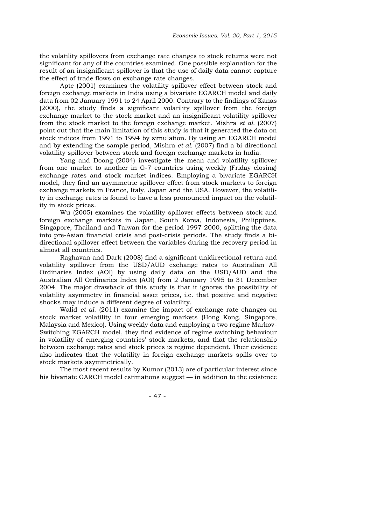the volatility spillovers from exchange rate changes to stock returns were not significant for any of the countries examined. One possible explanation for the result of an insignificant spillover is that the use of daily data cannot capture the effect of trade flows on exchange rate changes.

Apte (2001) examines the volatility spillover effect between stock and foreign exchange markets in India using a bivariate EGARCH model and daily data from 02 January 1991 to 24 April 2000. Contrary to the findings of Kanas (2000), the study finds a significant volatility spillover from the foreign exchange market to the stock market and an insignificant volatility spillover from the stock market to the foreign exchange market. Mishra *et al.* (2007) point out that the main limitation of this study is that it generated the data on stock indices from 1991 to 1994 by simulation. By using an EGARCH model and by extending the sample period, Mishra *et al*. (2007) find a bi-directional volatility spillover between stock and foreign exchange markets in India.

Yang and Doong (2004) investigate the mean and volatility spillover from one market to another in G-7 countries using weekly (Friday closing) exchange rates and stock market indices. Employing a bivariate EGARCH model, they find an asymmetric spillover effect from stock markets to foreign exchange markets in France, Italy, Japan and the USA. However, the volatility in exchange rates is found to have a less pronounced impact on the volatility in stock prices.

Wu (2005) examines the volatility spillover effects between stock and foreign exchange markets in Japan, South Korea, Indonesia, Philippines, Singapore, Thailand and Taiwan for the period 1997-2000, splitting the data into pre-Asian financial crisis and post-crisis periods. The study finds a bidirectional spillover effect between the variables during the recovery period in almost all countries.

Raghavan and Dark (2008) find a significant unidirectional return and volatility spillover from the USD/AUD exchange rates to Australian All Ordinaries Index (AOI) by using daily data on the USD/AUD and the Australian All Ordinaries Index (AOI) from 2 January 1995 to 31 December 2004. The major drawback of this study is that it ignores the possibility of volatility asymmetry in financial asset prices, i.e. that positive and negative shocks may induce a different degree of volatility.

Walid *et al.* (2011) examine the impact of exchange rate changes on stock market volatility in four emerging markets (Hong Kong, Singapore, Malaysia and Mexico). Using weekly data and employing a two regime Markov-Switching EGARCH model, they find evidence of regime switching behaviour in volatility of emerging countries' stock markets, and that the relationship between exchange rates and stock prices is regime dependent. Their evidence also indicates that the volatility in foreign exchange markets spills over to stock markets asymmetrically.

The most recent results by Kumar (2013) are of particular interest since his bivariate GARCH model estimations suggest — in addition to the existence

- 47 -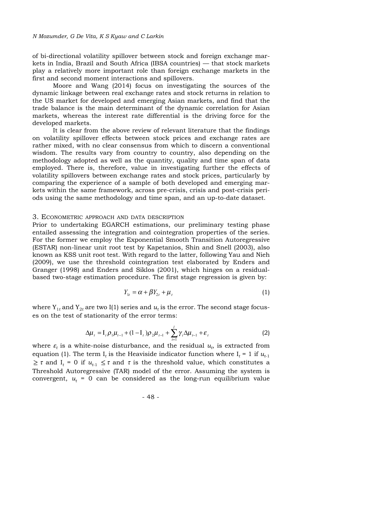of bi-directional volatility spillover between stock and foreign exchange markets in India, Brazil and South Africa (IBSA countries) — that stock markets play a relatively more important role than foreign exchange markets in the first and second moment interactions and spillovers.

Moore and Wang (2014) focus on investigating the sources of the dynamic linkage between real exchange rates and stock returns in relation to the US market for developed and emerging Asian markets, and find that the trade balance is the main determinant of the dynamic correlation for Asian markets, whereas the interest rate differential is the driving force for the developed markets.

It is clear from the above review of relevant literature that the findings on volatility spillover effects between stock prices and exchange rates are rather mixed, with no clear consensus from which to discern a conventional wisdom. The results vary from country to country, also depending on the methodology adopted as well as the quantity, quality and time span of data employed. There is, therefore, value in investigating further the effects of volatility spillovers between exchange rates and stock prices, particularly by comparing the experience of a sample of both developed and emerging markets within the same framework, across pre-crisis, crisis and post-crisis periods using the same methodology and time span, and an up-to-date dataset.

## 3. ECONOMETRIC APPROACH AND DATA DESCRIPTION

Prior to undertaking EGARCH estimations, our preliminary testing phase entailed assessing the integration and cointegration properties of the series. For the former we employ the Exponential Smooth Transition Autoregressive (ESTAR) non-linear unit root test by Kapetanios, Shin and Snell (2003), also known as KSS unit root test. With regard to the latter, following Yau and Nieh (2009), we use the threshold cointegration test elaborated by Enders and Granger (1998) and Enders and Siklos (2001), which hinges on a residualbased two-stage estimation procedure. The first stage regression is given by:

$$
Y_{1t} = \alpha + \beta Y_{2t} + \mu_t \tag{1}
$$

where  $Y_{1t}$  and  $Y_{2t}$  are two I(1) series and  $u_t$  is the error. The second stage focuses on the test of stationarity of the error terms:

$$
\Delta \mu_{t} = I_{t} \rho_{1} \mu_{t-1} + (1 - I_{t}) \rho_{2} \mu_{t-1} + \sum_{i=1}^{l} \gamma_{i} \Delta \mu_{t-1} + \varepsilon_{t}
$$
\n(2)

where  $\varepsilon_t$  is a white-noise disturbance, and the residual  $u_t$ , is extracted from equation (1). The term I<sub>t</sub> is the Heaviside indicator function where  $I_t = 1$  if  $u_{t-1}$  $\geq \tau$  and  $I_t = 0$  if  $u_{t+1} \leq \tau$  and  $\tau$  is the threshold value, which constitutes a Threshold Autoregressive (TAR) model of the error. Assuming the system is convergent,  $u_t = 0$  can be considered as the long-run equilibrium value

$$
-48 -
$$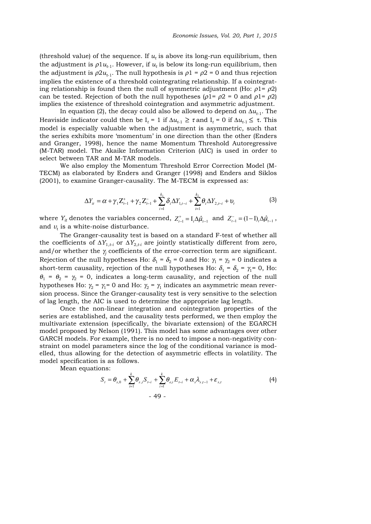(threshold value) of the sequence. If  $u_t$  is above its long-run equilibrium, then the adjustment is  $\rho_1 u_{t-1}$ . However, if  $u_t$  is below its long-run equilibrium, then the adjustment is  $\rho 2u_{t-1}$ . The null hypothesis is  $\rho 1 = \rho 2 = 0$  and thus rejection implies the existence of a threshold cointegrating relationship. If a cointegrating relationship is found then the null of symmetric adjustment (Ho:  $\rho_1 = \rho_2$ ) can be tested. Rejection of both the null hypotheses ( $\rho$ 1=  $\rho$ 2 = 0 and  $\rho$ 1=  $\rho$ 2) implies the existence of threshold cointegration and asymmetric adjustment.

In equation (2), the decay could also be allowed to depend on  $\Delta u_{t-1}$ . The Heaviside indicator could then be  $I_t = 1$  if  $\Delta u_{t-1} \geq \tau$  and  $I_t = 0$  if  $\Delta u_{t-1} \leq \tau$ . This model is especially valuable when the adjustment is asymmetric, such that the series exhibits more 'momentum' in one direction than the other (Enders and Granger, 1998), hence the name Momentum Threshold Autoregressive (M-TAR) model. The Akaike Information Criterion (AIC) is used in order to select between TAR and M-TAR models.

We also employ the Momentum Threshold Error Correction Model (M-TECM) as elaborated by Enders and Granger (1998) and Enders and Siklos (2001), to examine Granger-causality. The M-TECM is expressed as:

$$
\Delta Y_{it} = \alpha + \gamma_1 Z_{t-1}^+ + \gamma_2 Z_{t-1}^- + \sum_{i=1}^{k_1} \delta_i \Delta Y_{1,t-i} + \sum_{i=1}^{k_2} \theta_i \Delta Y_{2,t-i} + \upsilon_t
$$
(3)

where  $Y_{it}$  denotes the variables concerned,  $Z_{t-1}^+ = I_t \Delta \hat{\mu}_{t-1}$  and  $Z_{t-1}^- = (1-I_t) \Delta \hat{\mu}_{t-1}$ , and  $v_t$  is a white-noise disturbance.

The Granger-causality test is based on a standard F-test of whether all the coefficients of  $\Delta Y_{1,t-i}$  or  $\Delta Y_{2,t-i}$  are jointly statistically different from zero, and/or whether the  $\gamma_i$  coefficients of the error-correction term are significant. Rejection of the null hypotheses Ho:  $\delta_1 = \delta_2 = 0$  and Ho:  $\gamma_1 = \gamma_2 = 0$  indicates a short-term causality, rejection of the null hypotheses Ho:  $\delta_1 = \delta_2 = \gamma_1 = 0$ , Ho:  $\theta_1 = \theta_2 = \gamma_2 = 0$ , indicates a long-term causality, and rejection of the null hypotheses Ho:  $\gamma_2 = \gamma_1 = 0$  and Ho:  $\gamma_2 = \gamma_1$  indicates an asymmetric mean reversion process. Since the Granger-causality test is very sensitive to the selection of lag length, the AIC is used to determine the appropriate lag length.

Once the non-linear integration and cointegration properties of the series are established, and the causality tests performed, we then employ the multivariate extension (specifically, the bivariate extension) of the EGARCH model proposed by Nelson (1991). This model has some advantages over other GARCH models. For example, there is no need to impose a non-negativity constraint on model parameters since the log of the conditional variance is modelled, thus allowing for the detection of asymmetric effects in volatility. The model specification is as follows.

Mean equations:

$$
S_{t} = \theta_{s,0} + \sum_{i=1}^{k} \theta_{s,i} S_{t-i} + \sum_{i=1}^{k} \theta_{e,i} E_{t-i} + \alpha_{s} \lambda_{s,t-1} + \varepsilon_{s,t}
$$
(4)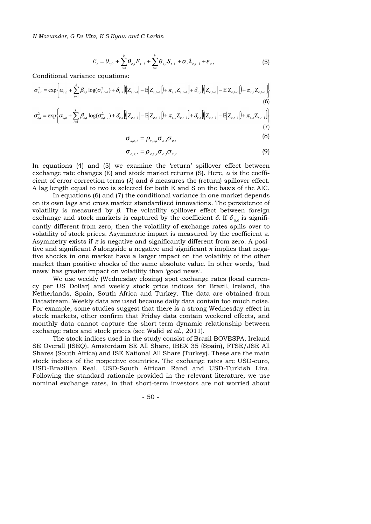*N Mozumder, G De Vita, K S Kyaw and C Larkin*

$$
E_{t} = \theta_{e,0} + \sum_{i=1}^{k} \theta_{e,i} E_{t-i} + \sum_{i=1}^{k} \theta_{s,i} S_{t-i} + \alpha_{e} \lambda_{e,t-1} + \varepsilon_{e,t}
$$
(5)

Conditional variance equations:

$$
\sigma_{s,t}^{2} = \exp \left\{ \alpha_{s,o} + \sum_{i=1}^{k} \beta_{s,i} \log(\sigma_{s,t-i}^{2}) + \delta_{s,s} \left[ \left( |Z_{s,t-1}| - E|Z_{s,t-1}| \right) + \pi_{s,s} Z_{s,t-1} \right] + \delta_{s,e} \left[ \left( |Z_{e,t-1}| - E|Z_{e,t-1}| \right) + \pi_{s,e} Z_{e,t-1} \right] \right\}
$$
\n
$$
\sigma_{e,t}^{2} = \exp \left\{ \alpha_{e,o} + \sum_{i=1}^{k} \beta_{e,i} \log(\sigma_{e,t-i}^{2}) + \delta_{e,e} \left[ \left( |Z_{e,t-1}| - E|Z_{e,t-1}| \right) + \pi_{e,e} Z_{e,t-1} \right] + \delta_{e,s} \left[ \left( |Z_{s,t-1}| - E|Z_{s,t-1}| \right) + \pi_{e,s} Z_{s,t-1} \right] \right\}
$$
\n
$$
(7)
$$

$$
\sigma_{s,e,t} = \rho_{s,e,t} \sigma_{s,t} \sigma_{e,t} \tag{8}
$$

$$
\sigma_{e,s,t} = \rho_{e,s,t} \sigma_{e,t} \sigma_{s,t}
$$
\n(9)

In equations (4) and (5) we examine the 'return' spillover effect between exchange rate changes (E) and stock market returns (S). Here,  $\alpha$  is the coefficient of error correction terms ( $\lambda$ ) and  $\theta$  measures the (return) spillover effect. A lag length equal to two is selected for both E and S on the basis of the AIC.

In equations (6) and (7) the conditional variance in one market depends on its own lags and cross market standardised innovations. The persistence of volatility is measured by  $β$ . The volatility spillover effect between foreign exchange and stock markets is captured by the coefficient  $\delta$ . If  $\delta_{\gamma}$  is significantly different from zero, then the volatility of exchange rates spills over to volatility of stock prices. Asymmetric impact is measured by the coefficient  $\pi$ . Asymmetry exists if  $\pi$  is negative and significantly different from zero. A positive and significant  $\delta$  alongside a negative and significant  $\pi$  implies that negative shocks in one market have a larger impact on the volatility of the other market than positive shocks of the same absolute value. In other words, 'bad news' has greater impact on volatility than 'good news'.

We use weekly (Wednesday closing) spot exchange rates (local currency per US Dollar) and weekly stock price indices for Brazil, Ireland, the Netherlands, Spain, South Africa and Turkey. The data are obtained from Datastream. Weekly data are used because daily data contain too much noise. For example, some studies suggest that there is a strong Wednesday effect in stock markets, other confirm that Friday data contain weekend effects, and monthly data cannot capture the short-term dynamic relationship between exchange rates and stock prices (see Walid *et al.*, 2011).

The stock indices used in the study consist of Brazil BOVESPA, Ireland SE Overall (ISEQ), Amsterdam SE All Share, IBEX 35 (Spain), FTSE/JSE All Shares (South Africa) and ISE National All Share (Turkey). These are the main stock indices of the respective countries. The exchange rates are USD-euro, USD-Brazilian Real, USD-South African Rand and USD-Turkish Lira. Following the standard rationale provided in the relevant literature, we use nominal exchange rates, in that short-term investors are not worried about

$$
-50 -
$$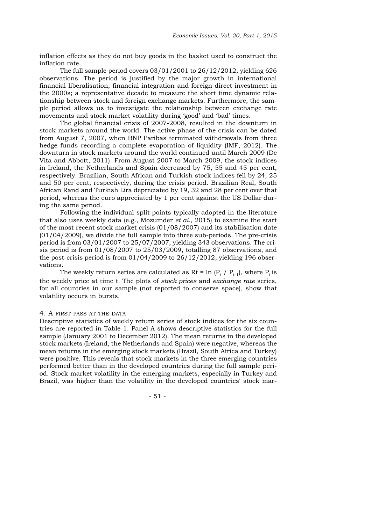inflation effects as they do not buy goods in the basket used to construct the inflation rate.

The full sample period covers 03/01/2001 to 26/12/2012, yielding 626 observations. The period is justified by the major growth in international financial liberalisation, financial integration and foreign direct investment in the 2000s; a representative decade to measure the short time dynamic relationship between stock and foreign exchange markets. Furthermore, the sample period allows us to investigate the relationship between exchange rate movements and stock market volatility during 'good' and 'bad' times.

The global financial crisis of 2007-2008, resulted in the downturn in stock markets around the world. The active phase of the crisis can be dated from August 7, 2007, when BNP Paribas terminated withdrawals from three hedge funds recording a complete evaporation of liquidity (IMF, 2012). The downturn in stock markets around the world continued until March 2009 (De Vita and Abbott, 2011). From August 2007 to March 2009, the stock indices in Ireland, the Netherlands and Spain decreased by 75, 55 and 45 per cent, respectively. Brazilian, South African and Turkish stock indices fell by 24, 25 and 50 per cent, respectively, during the crisis period. Brazilian Real, South African Rand and Turkish Lira depreciated by 19, 32 and 28 per cent over that period, whereas the euro appreciated by 1 per cent against the US Dollar during the same period.

Following the individual split points typically adopted in the literature that also uses weekly data (e.g., Mozumder *et al*., 2015) to examine the start of the most recent stock market crisis (01/08/2007) and its stabilisation date (01/04/2009), we divide the full sample into three sub-periods. The pre-crisis period is from 03/01/2007 to 25/07/2007, yielding 343 observations. The crisis period is from 01/08/2007 to 25/03/2009, totalling 87 observations, and the post-crisis period is from  $01/04/2009$  to  $26/12/2012$ , yielding 196 observations.

The weekly return series are calculated as Rt = ln  $(P_t / P_{t-1})$ , where  $P_t$  is the weekly price at time t. The plots of *stock prices* and *exchange rate* series, for all countries in our sample (not reported to conserve space), show that volatility occurs in bursts.

#### 4. A FIRST PASS AT THE DATA

Descriptive statistics of weekly return series of stock indices for the six countries are reported in Table 1. Panel A shows descriptive statistics for the full sample (January 2001 to December 2012). The mean returns in the developed stock markets (Ireland, the Netherlands and Spain) were negative, whereas the mean returns in the emerging stock markets (Brazil, South Africa and Turkey) were positive. This reveals that stock markets in the three emerging countries performed better than in the developed countries during the full sample period. Stock market volatility in the emerging markets, especially in Turkey and Brazil, was higher than the volatility in the developed countries' stock mar-

- 51 -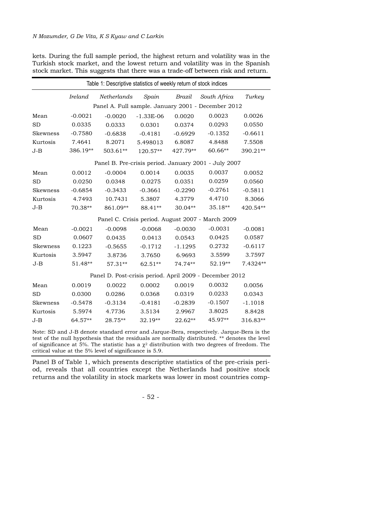kets. During the full sample period, the highest return and volatility was in the Turkish stock market, and the lowest return and volatility was in the Spanish stock market. This suggests that there was a trade-off between risk and return.

| Table 1: Descriptive statistics of weekly return of stock indices |                               |           |             |           |                                                         |           |  |  |  |
|-------------------------------------------------------------------|-------------------------------|-----------|-------------|-----------|---------------------------------------------------------|-----------|--|--|--|
|                                                                   | <b>Ireland</b><br>Netherlands |           | Spain       | Brazil    |                                                         | Turkey    |  |  |  |
|                                                                   |                               |           |             |           | Panel A. Full sample. January 2001 - December 2012      |           |  |  |  |
| Mean                                                              | $-0.0021$                     | $-0.0020$ | $-1.33E-06$ | 0.0020    | 0.0023                                                  | 0.0026    |  |  |  |
| <b>SD</b>                                                         | 0.0335                        | 0.0333    | 0.0301      | 0.0374    | 0.0293                                                  | 0.0550    |  |  |  |
| <b>Skewness</b>                                                   | $-0.7580$                     | $-0.6838$ | $-0.4181$   | $-0.6929$ | $-0.1352$                                               | $-0.6611$ |  |  |  |
| Kurtosis                                                          | 7.4641                        | 8.2071    | 5.498013    | 6.8087    | 4.8488                                                  | 7.5508    |  |  |  |
| $J-B$                                                             | 386.19**                      | 503.61**  | 120.57**    | 427.79**  | 60.66**                                                 | 390.21**  |  |  |  |
|                                                                   |                               |           |             |           | Panel B. Pre-crisis period. January 2001 - July 2007    |           |  |  |  |
| Mean                                                              | 0.0012                        | $-0.0004$ | 0.0014      | 0.0035    | 0.0037                                                  | 0.0052    |  |  |  |
| <b>SD</b>                                                         | 0.0250                        | 0.0348    | 0.0275      | 0.0351    | 0.0259                                                  | 0.0560    |  |  |  |
| Skewness                                                          | $-0.6854$                     | $-0.3433$ | $-0.3661$   | $-0.2290$ | $-0.2761$                                               | $-0.5811$ |  |  |  |
| Kurtosis                                                          | 4.7493                        | 10.7431   | 5.3807      | 4.3779    | 4.4710                                                  | 8.3066    |  |  |  |
| J-B                                                               | 70.38**                       | 861.09**  | 88.41**     | 30.04**   | 35.18**                                                 | 420.54**  |  |  |  |
|                                                                   |                               |           |             |           | Panel C. Crisis period. August 2007 - March 2009        |           |  |  |  |
| Mean                                                              | $-0.0021$                     | $-0.0098$ | $-0.0068$   | $-0.0030$ | $-0.0031$                                               | $-0.0081$ |  |  |  |
| <b>SD</b>                                                         | 0.0607                        | 0.0435    | 0.0413      | 0.0543    | 0.0425                                                  | 0.0587    |  |  |  |
| <b>Skewness</b>                                                   | 0.1223                        | $-0.5655$ | $-0.1712$   | $-1.1295$ | 0.2732                                                  | $-0.6117$ |  |  |  |
| Kurtosis                                                          | 3.5947                        | 3.8736    | 3.7650      | 6.9693    | 3.5599                                                  | 3.7597    |  |  |  |
| $J-B$                                                             | 51.48**                       | 57.31**   | 62.51**     | 74.74**   | 52.19**                                                 | 7.4324**  |  |  |  |
|                                                                   |                               |           |             |           | Panel D. Post-crisis period. April 2009 - December 2012 |           |  |  |  |
| Mean                                                              | 0.0019                        | 0.0022    | 0.0002      | 0.0019    | 0.0032                                                  | 0.0056    |  |  |  |
| <b>SD</b>                                                         | 0.0300                        | 0.0286    | 0.0368      | 0.0319    | 0.0233                                                  | 0.0343    |  |  |  |
| <b>Skewness</b>                                                   | $-0.5478$                     | $-0.3134$ | $-0.4181$   | $-0.2839$ | $-0.1507$                                               | $-1.1018$ |  |  |  |
| Kurtosis                                                          | 5.5974                        | 4.7736    | 3.5134      | 2.9967    | 3.8025                                                  | 8.8428    |  |  |  |
| $J-B$                                                             | $64.57**$                     | 28.75**   | 32.19**     | $22.62**$ | 45.97**                                                 | 316.83**  |  |  |  |

Note: SD and J-B denote standard error and Jarque-Bera, respectively. Jarque-Bera is the test of the null hypothesis that the residuals are normally distributed. \*\* denotes the level of significance at 5%. The statistic has a  $\chi^2$  distribution with two degrees of freedom. The critical value at the 5% level of significance is 5.9.

Panel B of Table 1, which presents descriptive statistics of the pre-crisis period, reveals that all countries except the Netherlands had positive stock returns and the volatility in stock markets was lower in most countries comp-

- 52 -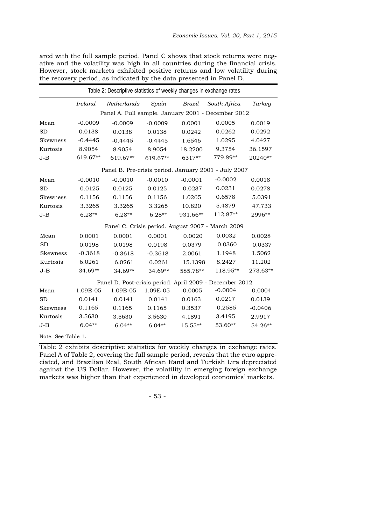ared with the full sample period. Panel C shows that stock returns were negative and the volatility was high in all countries during the financial crisis. However, stock markets exhibited positive returns and low volatility during the recovery period, as indicated by the data presented in Panel D.

| Table 2: Descriptive statistics of weekly changes in exchange rates |           |             |           |                                                    |                                                         |           |  |  |  |  |  |
|---------------------------------------------------------------------|-----------|-------------|-----------|----------------------------------------------------|---------------------------------------------------------|-----------|--|--|--|--|--|
|                                                                     | Ireland   | Netherlands | Spain     | Brazil                                             | South Africa                                            | Turkey    |  |  |  |  |  |
|                                                                     |           |             |           | Panel A. Full sample. January 2001 - December 2012 |                                                         |           |  |  |  |  |  |
| Mean                                                                | $-0.0009$ | $-0.0009$   | $-0.0009$ | 0.0001                                             | 0.0005                                                  | 0.0019    |  |  |  |  |  |
| <b>SD</b>                                                           | 0.0138    | 0.0138      | 0.0138    | 0.0242                                             | 0.0262                                                  | 0.0292    |  |  |  |  |  |
| Skewness                                                            | $-0.4445$ | $-0.4445$   | $-0.4445$ | 1.6546                                             | 1.0295                                                  | 4.0427    |  |  |  |  |  |
| Kurtosis                                                            | 8.9054    | 8.9054      | 8.9054    | 18.2200                                            | 9.3754                                                  | 36.1597   |  |  |  |  |  |
| $J-B$                                                               | 619.67**  | 619.67**    | 619.67**  | 6317**                                             | 779.89**                                                | 20240**   |  |  |  |  |  |
| Panel B. Pre-crisis period. January 2001 - July 2007                |           |             |           |                                                    |                                                         |           |  |  |  |  |  |
| Mean                                                                | $-0.0010$ | $-0.0010$   | $-0.0010$ | $-0.0001$                                          | $-0.0002$                                               | 0.0018    |  |  |  |  |  |
| <b>SD</b>                                                           | 0.0125    | 0.0125      | 0.0125    | 0.0237                                             | 0.0231                                                  | 0.0278    |  |  |  |  |  |
| <b>Skewness</b>                                                     | 0.1156    | 0.1156      | 0.1156    | 1.0265                                             | 0.6578                                                  | 5.0391    |  |  |  |  |  |
| Kurtosis                                                            | 3.3265    | 3.3265      | 3.3265    | 10.820                                             | 5.4879                                                  | 47.733    |  |  |  |  |  |
| $J-B$                                                               | $6.28**$  | $6.28**$    | $6.28**$  | 931.66**                                           | 112.87**                                                | 2996**    |  |  |  |  |  |
|                                                                     |           |             |           |                                                    | Panel C. Crisis period. August 2007 - March 2009        |           |  |  |  |  |  |
| Mean                                                                | 0.0001    | 0.0001      | 0.0001    | 0.0020                                             | 0.0032                                                  | 0.0028    |  |  |  |  |  |
| <b>SD</b>                                                           | 0.0198    | 0.0198      | 0.0198    | 0.0379                                             | 0.0360                                                  | 0.0337    |  |  |  |  |  |
| <b>Skewness</b>                                                     | $-0.3618$ | $-0.3618$   | $-0.3618$ | 2.0061                                             | 1.1948                                                  | 1.5062    |  |  |  |  |  |
| Kurtosis                                                            | 6.0261    | 6.0261      | 6.0261    | 15.1398                                            | 8.2427                                                  | 11.202    |  |  |  |  |  |
| $J-B$                                                               | 34.69**   | $34.69**$   | 34.69**   | 585.78**                                           | 118.95**                                                | 273.63**  |  |  |  |  |  |
|                                                                     |           |             |           |                                                    | Panel D. Post-crisis period. April 2009 - December 2012 |           |  |  |  |  |  |
| Mean                                                                | 1.09E-05  | 1.09E-05    | 1.09E-05  | $-0.0005$                                          | $-0.0004$                                               | 0.0004    |  |  |  |  |  |
| <b>SD</b>                                                           | 0.0141    | 0.0141      | 0.0141    | 0.0163                                             | 0.0217                                                  | 0.0139    |  |  |  |  |  |
| <b>Skewness</b>                                                     | 0.1165    | 0.1165      | 0.1165    | 0.3537                                             | 0.2585                                                  | $-0.0406$ |  |  |  |  |  |
| Kurtosis                                                            | 3.5630    | 3.5630      | 3.5630    | 4.1891                                             | 3.4195                                                  | 2.9917    |  |  |  |  |  |
| $J-B$                                                               | $6.04**$  | $6.04**$    | $6.04**$  | 15.55**                                            | 53.60**                                                 | 54.26**   |  |  |  |  |  |
| Note: See Table 1.                                                  |           |             |           |                                                    |                                                         |           |  |  |  |  |  |

Table 2 exhibits descriptive statistics for weekly changes in exchange rates. Panel A of Table 2, covering the full sample period, reveals that the euro appreciated, and Brazilian Real, South African Rand and Turkish Lira depreciated against the US Dollar. However, the volatility in emerging foreign exchange markets was higher than that experienced in developed economies' markets.

- 53 -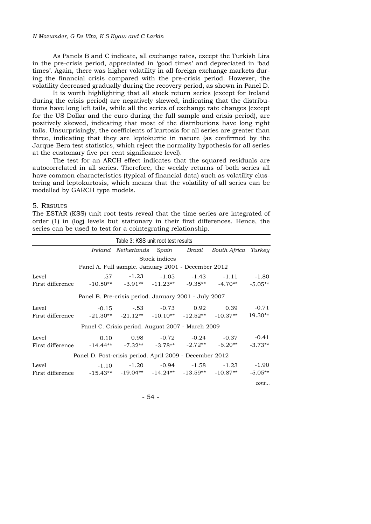#### *N Mozumder, G De Vita, K S Kyaw and C Larkin*

As Panels B and C indicate, all exchange rates, except the Turkish Lira in the pre-crisis period, appreciated in 'good times' and depreciated in 'bad times'. Again, there was higher volatility in all foreign exchange markets during the financial crisis compared with the pre-crisis period. However, the volatility decreased gradually during the recovery period, as shown in Panel D.

It is worth highlighting that all stock return series (except for Ireland during the crisis period) are negatively skewed, indicating that the distributions have long left tails, while all the series of exchange rate changes (except for the US Dollar and the euro during the full sample and crisis period), are positively skewed, indicating that most of the distributions have long right tails. Unsurprisingly, the coefficients of kurtosis for all series are greater than three, indicating that they are leptokurtic in nature (as confirmed by the Jarque-Bera test statistics, which reject the normality hypothesis for all series at the customary five per cent significance level).

The test for an ARCH effect indicates that the squared residuals are autocorrelated in all series. Therefore, the weekly returns of both series all have common characteristics (typical of financial data) such as volatility clustering and leptokurtosis, which means that the volatility of all series can be modelled by GARCH type models.

## 5. RESULTS

The ESTAR (KSS) unit root tests reveal that the time series are integrated of order (1) in (log) levels but stationary in their first differences. Hence, the series can be used to test for a cointegrating relationship.

| Table 3: KSS unit root test results                                                        |  |                                                         |               |  |                                                      |           |  |  |  |  |
|--------------------------------------------------------------------------------------------|--|---------------------------------------------------------|---------------|--|------------------------------------------------------|-----------|--|--|--|--|
|                                                                                            |  |                                                         |               |  | Ireland Netherlands Spain Brazil South Africa Turkey |           |  |  |  |  |
|                                                                                            |  |                                                         | Stock indices |  |                                                      |           |  |  |  |  |
|                                                                                            |  | Panel A. Full sample. January 2001 - December 2012      |               |  |                                                      |           |  |  |  |  |
| Level                                                                                      |  |                                                         |               |  | $.57 \t -1.23 \t -1.05 \t -1.43 \t -1.11 \t -1.80$   |           |  |  |  |  |
| First difference $-10.50**$ $-3.91**$ $-11.23**$ $-9.35**$ $-4.70**$                       |  |                                                         |               |  |                                                      | $-5.05**$ |  |  |  |  |
|                                                                                            |  | Panel B. Pre-crisis period. January 2001 - July 2007    |               |  |                                                      |           |  |  |  |  |
| Level<br>First difference $-21.30**$ $-21.12**$ $-10.10**$ $-12.52**$ $-10.37**$ $19.30**$ |  |                                                         |               |  | -0.15 -.53 -0.73 0.92 0.39                           | $-0.71$   |  |  |  |  |
|                                                                                            |  | Panel C. Crisis period. August 2007 - March 2009        |               |  |                                                      |           |  |  |  |  |
| Level<br>First difference $-14.44**$ $-7.32**$ $-3.78**$ $-2.72**$ $-5.20**$               |  |                                                         |               |  | $0.10$ $0.98$ $-0.72$ $-0.24$ $-0.37$ $-0.41$        | $-3.73**$ |  |  |  |  |
|                                                                                            |  | Panel D. Post-crisis period. April 2009 - December 2012 |               |  |                                                      |           |  |  |  |  |
| Level<br>First difference $-15.43**$ $-19.04**$ $-14.24**$ $-13.59**$ $-10.87**$           |  |                                                         |               |  | $-1.10$ $-1.20$ $-0.94$ $-1.58$ $-1.23$ $-1.90$      | $-5.05**$ |  |  |  |  |
|                                                                                            |  |                                                         |               |  |                                                      | cont      |  |  |  |  |

- 54 -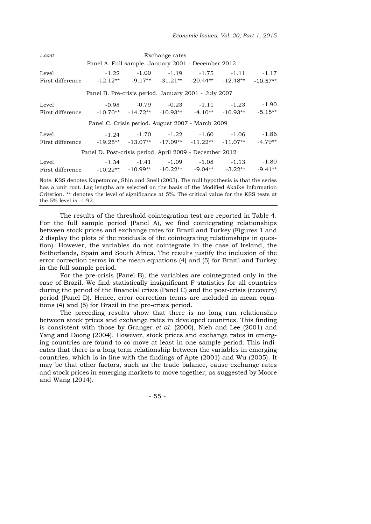| $cont$                                                                                                                                                                                                         | Exchange rates                                     |  |  |  |                                                 |  |  |  |  |  |  |  |
|----------------------------------------------------------------------------------------------------------------------------------------------------------------------------------------------------------------|----------------------------------------------------|--|--|--|-------------------------------------------------|--|--|--|--|--|--|--|
|                                                                                                                                                                                                                | Panel A. Full sample. January 2001 - December 2012 |  |  |  |                                                 |  |  |  |  |  |  |  |
| Level                                                                                                                                                                                                          |                                                    |  |  |  | $-1.22$ $-1.00$ $-1.19$ $-1.75$ $-1.11$ $-1.17$ |  |  |  |  |  |  |  |
| First difference $-12.12**$ $-9.17**$ $-31.21**$ $-20.44**$ $-12.48**$ $-10.57**$                                                                                                                              |                                                    |  |  |  |                                                 |  |  |  |  |  |  |  |
| Panel B. Pre-crisis period. January 2001 - July 2007                                                                                                                                                           |                                                    |  |  |  |                                                 |  |  |  |  |  |  |  |
| Level                                                                                                                                                                                                          |                                                    |  |  |  | $-0.98$ $-0.79$ $-0.23$ $-1.11$ $-1.23$ $-1.90$ |  |  |  |  |  |  |  |
| First difference $-10.70**$ $-14.72**$ $-10.93**$ $-4.10**$ $-10.93**$ $-5.15**$                                                                                                                               |                                                    |  |  |  |                                                 |  |  |  |  |  |  |  |
|                                                                                                                                                                                                                | Panel C. Crisis period. August 2007 - March 2009   |  |  |  |                                                 |  |  |  |  |  |  |  |
| Level                                                                                                                                                                                                          |                                                    |  |  |  | $-1.24$ $-1.70$ $-1.22$ $-1.60$ $-1.06$ $-1.86$ |  |  |  |  |  |  |  |
| First difference $-19.25**$ $-13.07**$ $-17.09**$ $-11.22**$ $-11.07**$ $-4.79**$                                                                                                                              |                                                    |  |  |  |                                                 |  |  |  |  |  |  |  |
| Panel D. Post-crisis period. April 2009 - December 2012                                                                                                                                                        |                                                    |  |  |  |                                                 |  |  |  |  |  |  |  |
| Level                                                                                                                                                                                                          |                                                    |  |  |  | $-1.34$ $-1.41$ $-1.09$ $-1.08$ $-1.13$ $-1.80$ |  |  |  |  |  |  |  |
| First difference $-10.22**$ $-10.99**$ $-10.22**$ $-9.04**$ $-3.22**$ $-9.41**$                                                                                                                                |                                                    |  |  |  |                                                 |  |  |  |  |  |  |  |
| Note: KSS denotes Kapetanios, Shin and Snell (2003). The null hypothesis is that the series<br>the contract of the contract of the contract of the contract of the contract of the contract of the contract of |                                                    |  |  |  |                                                 |  |  |  |  |  |  |  |

has a unit root. Lag lengths are selected on the basis of the Modified Akaike Information Criterion. \*\* denotes the level of significance at 5%. The critical value for the KSS tests at the 5% level is -1.92.

The results of the threshold cointegration test are reported in Table 4. For the full sample period (Panel A), we find cointegrating relationships between stock prices and exchange rates for Brazil and Turkey (Figures 1 and 2 display the plots of the residuals of the cointegrating relationships in question). However, the variables do not cointegrate in the case of Ireland, the Netherlands, Spain and South Africa. The results justify the inclusion of the error correction terms in the mean equations (4) and (5) for Brazil and Turkey in the full sample period.

For the pre-crisis (Panel B), the variables are cointegrated only in the case of Brazil. We find statistically insignificant F statistics for all countries during the period of the financial crisis (Panel C) and the post-crisis (recovery) period (Panel D). Hence, error correction terms are included in mean equations (4) and (5) for Brazil in the pre-crisis period.

The preceding results show that there is no long run relationship between stock prices and exchange rates in developed countries. This finding is consistent with those by Granger *et al*. (2000), Nieh and Lee (2001) and Yang and Doong (2004). However, stock prices and exchange rates in emerging countries are found to co-move at least in one sample period. This indicates that there is a long term relationship between the variables in emerging countries, which is in line with the findings of Apte (2001) and Wu (2005). It may be that other factors, such as the trade balance, cause exchange rates and stock prices in emerging markets to move together, as suggested by Moore and Wang (2014).

- 55 -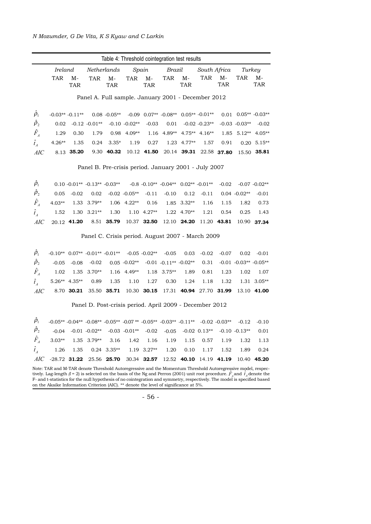| Table 4: Threshold cointegration test results        |                                                                                                                                                                                                                                                                                                                                                                                     |                    |                                                                                                                                                               |                    |                   |                    |                                                         |                                    |                 |                         |                          |                    |
|------------------------------------------------------|-------------------------------------------------------------------------------------------------------------------------------------------------------------------------------------------------------------------------------------------------------------------------------------------------------------------------------------------------------------------------------------|--------------------|---------------------------------------------------------------------------------------------------------------------------------------------------------------|--------------------|-------------------|--------------------|---------------------------------------------------------|------------------------------------|-----------------|-------------------------|--------------------------|--------------------|
|                                                      | Ireland                                                                                                                                                                                                                                                                                                                                                                             |                    |                                                                                                                                                               | Netherlands        |                   | Spain              | Brazil                                                  |                                    |                 | South Africa            | Turkey                   |                    |
|                                                      | <b>TAR</b>                                                                                                                                                                                                                                                                                                                                                                          | $M-$<br><b>TAR</b> | <b>TAR</b>                                                                                                                                                    | $M-$<br><b>TAR</b> | <b>TAR</b>        | $M-$<br><b>TAR</b> | TAR                                                     | $\mathbf{M}\text{-}$<br><b>TAR</b> | TAR             | $M-$<br><b>TAR</b>      | <b>TAR</b>               | M-<br><b>TAR</b>   |
|                                                      |                                                                                                                                                                                                                                                                                                                                                                                     |                    | Panel A. Full sample. January 2001 - December 2012                                                                                                            |                    |                   |                    |                                                         |                                    |                 |                         |                          |                    |
| $\hat{\rho}_{1}$                                     |                                                                                                                                                                                                                                                                                                                                                                                     | $-0.03** -0.11**$  |                                                                                                                                                               |                    |                   |                    | $0.08 - 0.05** -0.09$ $0.07** -0.08**$ $0.05** -0.01**$ |                                    |                 |                         | $0.01$ $0.05**$ -0.03**  |                    |
| $\hat{\rho}_2$                                       | 0.02                                                                                                                                                                                                                                                                                                                                                                                |                    | $-0.12 - 0.01**$                                                                                                                                              |                    | $-0.10 - 0.02**$  | $-0.03$            | 0.01                                                    |                                    | $-0.02 -0.23**$ |                         | $-0.03 - 0.03**$         | $-0.02$            |
| $\hat{F}_{_A}$                                       | 1.29                                                                                                                                                                                                                                                                                                                                                                                | 0.30               | 1.79                                                                                                                                                          |                    | $0.98$ 4.09**     |                    | 1.16 4.89** 4.75** 4.16**                               |                                    |                 |                         | 1.85 5.12** 4.05**       |                    |
| $\hat{t}_A$                                          | $4.26**$                                                                                                                                                                                                                                                                                                                                                                            | 1.35               | 0.24                                                                                                                                                          | $3.35*$            | 1.19              | 0.27               |                                                         | $1.23$ 4.77**                      | 1.57            | 0.91                    |                          | $0.20\quad 5.15**$ |
| AIC                                                  |                                                                                                                                                                                                                                                                                                                                                                                     | 8.13 35.20         |                                                                                                                                                               | 9.30 40.32         |                   | 10.12 41.50        |                                                         |                                    |                 | 20.14 39.31 22.58 37.80 |                          | 15.50 35.81        |
| Panel B. Pre-crisis period. January 2001 - July 2007 |                                                                                                                                                                                                                                                                                                                                                                                     |                    |                                                                                                                                                               |                    |                   |                    |                                                         |                                    |                 |                         |                          |                    |
| $\hat{\rho}_1$                                       |                                                                                                                                                                                                                                                                                                                                                                                     |                    | $0.10 - 0.01** -0.13** -0.03**$                                                                                                                               |                    |                   |                    | $-0.8$ $-0.10**$ $-0.04**$ $0.02**$ $-0.01**$           |                                    |                 | $-0.02$                 |                          | $-0.07 - 0.02**$   |
| $\hat{\rho}_2$                                       | 0.05                                                                                                                                                                                                                                                                                                                                                                                | $-0.02$            | 0.02                                                                                                                                                          |                    | $-0.02$ $-0.05**$ | $-0.11$            | $-0.10$                                                 | 0.12                               | $-0.11$         |                         | $0.04 - 0.02**$          | $-0.01$            |
| $\hat{F}_A$                                          | $4.03**$                                                                                                                                                                                                                                                                                                                                                                            | 1.33               | $3.79**$                                                                                                                                                      |                    | $1.06$ 4.22**     | 0.16               |                                                         | $1.85$ 3.32**                      | 1.16            | 1.15                    | 1.82                     | 0.73               |
| $\hat{t}_A$                                          | 1.52                                                                                                                                                                                                                                                                                                                                                                                |                    | $1.30 \quad 3.21**$                                                                                                                                           | 1.30               |                   | $1.10$ 4.27**      |                                                         | $1.22$ 4.70**                      | 1.21            | 0.54                    | 0.25                     | 1.43               |
| AIC                                                  |                                                                                                                                                                                                                                                                                                                                                                                     | 20.12 41.20        |                                                                                                                                                               | 8.51 35.79         |                   | 10.37 32.50        |                                                         | 12.10 24.20                        |                 | 11.20 43.81             | 10.90                    | 37.34              |
|                                                      |                                                                                                                                                                                                                                                                                                                                                                                     |                    | Panel C. Crisis period. August 2007 - March 2009                                                                                                              |                    |                   |                    |                                                         |                                    |                 |                         |                          |                    |
| $\hat{\rho}_{1}$                                     |                                                                                                                                                                                                                                                                                                                                                                                     |                    | $-0.10^{**}$ 0.07** $-0.01^{**}$ $-0.01^{**}$ $-0.05$ $-0.02^{**}$                                                                                            |                    |                   |                    | $-0.05$                                                 | 0.03                               | $-0.02$         | $-0.07$                 | 0.02                     | $-0.01$            |
| $\hat{\rho}_2$                                       | $-0.05$                                                                                                                                                                                                                                                                                                                                                                             | $-0.08$            | $-0.02$                                                                                                                                                       |                    | $0.05 -0.02**$    |                    | $-0.01$ $-0.11**$ $-0.02**$                             |                                    | 0.31            |                         | $-0.01 - 0.03** -0.05**$ |                    |
| $\hat{F}_A$                                          | 1.02                                                                                                                                                                                                                                                                                                                                                                                |                    | $1.35$ 3.70**                                                                                                                                                 |                    | $1.16$ 4.49**     |                    | 1.18 3.75**                                             | 1.89                               | 0.81            | 1.23                    | 1.02                     | 1.07               |
| $\hat{t}_A$                                          |                                                                                                                                                                                                                                                                                                                                                                                     | $5.26**$ 4.35**    | 0.89                                                                                                                                                          | 1.35               | 1.10              | 1.27               | 0.30                                                    | 1.24                               | 1.18            | 1.32                    |                          | $1.31$ 3.05**      |
| AIC                                                  |                                                                                                                                                                                                                                                                                                                                                                                     | 8.70 30.21         |                                                                                                                                                               | 35.50 35.71        |                   | 10.30 30.15        |                                                         | 17.31 40.94 27.70 31.99            |                 |                         |                          | 13.10 41.00        |
|                                                      |                                                                                                                                                                                                                                                                                                                                                                                     |                    | Panel D. Post-crisis period. April 2009 - December 2012                                                                                                       |                    |                   |                    |                                                         |                                    |                 |                         |                          |                    |
| $\tilde{\rho}_1$                                     |                                                                                                                                                                                                                                                                                                                                                                                     |                    | $-0.05**$ $-0.04**$ $-0.08**$ $-0.05**$ $-0.07**$ $-0.05**$ $-0.03**$ $-0.11**$ $-0.02$ $-0.03**$                                                             |                    |                   |                    |                                                         |                                    |                 |                         | $-0.12$                  | $-0.10$            |
| $\hat{\rho}_2$                                       |                                                                                                                                                                                                                                                                                                                                                                                     |                    | $-0.04 \quad -0.01 \quad -0.02^{**} \quad -0.03 \quad -0.01^{**} \quad -0.02 \quad -0.05 \quad -0.02 \quad 0.13^{**} \quad -0.10 \quad -0.13^{**} \quad 0.01$ |                    |                   |                    |                                                         |                                    |                 |                         |                          |                    |
| $\hat{F}_{_A}$                                       | $3.03**$                                                                                                                                                                                                                                                                                                                                                                            |                    | 1.35 3.79**                                                                                                                                                   | 3.16               | 1.42              | 1.16               | 1.19                                                    | 1.15                               | 0.57            | 1.19                    | 1.32                     | 1.13               |
| $\hat{t}_A$                                          | 1.26                                                                                                                                                                                                                                                                                                                                                                                | 1.35               |                                                                                                                                                               | $0.24$ 3.35**      |                   | $1.19$ $3.27**$    | 1.20                                                    | 0.10                               | 1.17            | 1.52                    | 1.89                     | 0.24               |
| AIC                                                  |                                                                                                                                                                                                                                                                                                                                                                                     | $-28.72$ 31.22     |                                                                                                                                                               | 25.56 25.70        |                   | 30.34 <b>32.57</b> | 12.52                                                   | 40.10                              | 14.19           | 41.19                   | 10.40                    | 45.20              |
|                                                      | Note: TAR and M-TAR denote Threshold Autoregressive and the Momentum Threshold Autoregressive model, respec-<br>tively. Lag-length $(l = 2)$ is selected on the basis of the Ng and Perron (2001) unit root procedure. $F_A$ and $\hat{t}_A$ denote the<br>F- and t-statistics for the null hypothesis of no cointegration and symmetry, respectively. The model is specified based |                    |                                                                                                                                                               |                    |                   |                    |                                                         |                                    |                 |                         |                          |                    |

- 56 -

on the Akaike Information Criterion (AIC). \*\* denote the level of significance at 5%.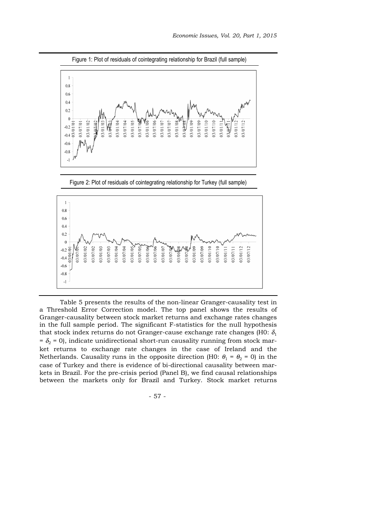

Figure 1: Plot of residuals of cointegrating relationship for Brazil (full sample)

Figure 2: Plot of residuals of cointegrating relationship for Turkey (full sample)



Table 5 presents the results of the non-linear Granger-causality test in a Threshold Error Correction model. The top panel shows the results of Granger-causality between stock market returns and exchange rates changes in the full sample period. The significant F-statistics for the null hypothesis that stock index returns do not Granger-cause exchange rate changes (H0:  $\delta_1$ )  $= \delta_2 = 0$ ), indicate unidirectional short-run causality running from stock market returns to exchange rate changes in the case of Ireland and the Netherlands. Causality runs in the opposite direction (H0:  $\theta_1 = \theta_2 = 0$ ) in the case of Turkey and there is evidence of bi-directional causality between markets in Brazil. For the pre-crisis period (Panel B), we find causal relationships between the markets only for Brazil and Turkey. Stock market returns

- 57 -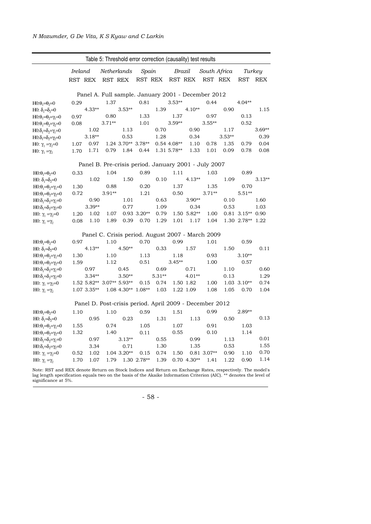|                                                                                                                                                     |      |                                        |          |                        |               |                 |               | Table 5: Threshold error correction (causality) test results |               |              |                    |              |
|-----------------------------------------------------------------------------------------------------------------------------------------------------|------|----------------------------------------|----------|------------------------|---------------|-----------------|---------------|--------------------------------------------------------------|---------------|--------------|--------------------|--------------|
|                                                                                                                                                     |      | <b>Ireland</b><br>Netherlands<br>Spain |          |                        |               | Brazil          |               |                                                              | South Africa  | Turkey       |                    |              |
|                                                                                                                                                     |      | RST REX                                | RST REX  |                        |               | RST REX RST REX |               |                                                              | RST REX       |              | RST                | REX          |
|                                                                                                                                                     |      |                                        |          |                        |               |                 |               | Panel A. Full sample. January 2001 - December 2012           |               |              |                    |              |
| $H0:\theta_1=\theta_2=0$                                                                                                                            | 0.29 |                                        | 1.37     |                        | 0.81          |                 | $3.53**$      |                                                              | 0.44          |              | $4.04**$           |              |
| H0: $\delta_1 = \delta_2 = 0$                                                                                                                       |      | $4.33**$                               |          | $3.53**$               |               | 1.39            |               | $4.10**$                                                     |               | 0.90         |                    | 1.15         |
| $H0:\theta_1=\theta_2=\gamma_1=0$                                                                                                                   | 0.97 |                                        | 0.80     |                        | 1.33          |                 | 1.37          |                                                              | 0.97          |              | 0.13               |              |
| $H0:\theta_1=\theta_2=\gamma_2=0$                                                                                                                   | 0.08 |                                        | $3.71**$ |                        | 1.01          |                 | $3.59**$      |                                                              | $3.55**$      |              | 0.52               |              |
| HO: $\delta_1 = \delta_2 = \gamma_1 = 0$                                                                                                            |      | 1.02                                   |          | 1.13                   |               | 0.70            |               | 0.90                                                         |               | 1.17         |                    | $3.69**$     |
| H0:δ <sub>1</sub> =δ <sub>2</sub> =γ <sub>2</sub> =0                                                                                                |      | $3.18**$                               |          | 0.53                   |               | 1.28            |               | 0.34                                                         |               | $3.53**$     |                    | 0.39         |
| H0: $\gamma_1 = \gamma_2 = 0$                                                                                                                       | 1.07 | 0.97                                   |          | 1.24 3.70** 3.78**     |               |                 | $0.54$ 4.08** | 1.10                                                         | 0.78          | 1.35         | 0.79               | 0.04         |
| H0: $\gamma_1 = \gamma_2$                                                                                                                           | 1.70 | 1.71                                   | 0.79     | 1.84                   | 0.44          |                 | 1.31 5.78**   | 1.33                                                         | 1.01          | 0.09         | 0.78               | 0.08         |
|                                                                                                                                                     |      |                                        |          |                        |               |                 |               | Panel B. Pre-crisis period. January 2001 - July 2007         |               |              |                    |              |
| $H0:\theta_1=\theta_2=0$                                                                                                                            | 0.33 |                                        | 1.04     |                        | 0.89          |                 | 1.11          |                                                              | 1.03          |              | 0.89               |              |
| H0: $\delta_1 = \delta_2 = 0$                                                                                                                       |      | 1.02                                   |          | 1.50                   |               | 0.10            |               | $4.13**$                                                     |               | 1.09         |                    | $3.13**$     |
| $H0:\theta_1=\theta_2=\gamma_1=0$                                                                                                                   | 1.30 |                                        | 0.88     |                        | 0.20          |                 | 1.37          |                                                              | 1.35          |              | 0.70               |              |
| $H0:\theta_1=\theta_2=\gamma_2=0$                                                                                                                   | 0.72 |                                        | $3.91**$ |                        | 1.21          |                 | 0.50          |                                                              | $3.71**$      |              | $5.51**$           |              |
| $H0:\delta_1=\delta_2=\gamma_1=0$                                                                                                                   |      | 0.90                                   |          | 1.01                   |               | 0.63            |               | $3.90**$                                                     |               | 0.10         |                    | 1.60         |
| H0:δ <sub>1</sub> =δ <sub>2</sub> =γ <sub>2</sub> =0                                                                                                |      | $3.39**$                               |          | 0.77                   |               | 1.09            |               | 0.34                                                         |               | 0.53         |                    | 1.03         |
| H0: $\gamma_1 = \gamma_2 = 0$                                                                                                                       | 1.20 | 1.02                                   | 1.07     |                        | $0.93$ 3.20** | 0.79            |               | 1.50 5.82**                                                  | 1.00          |              | $0.81$ 3.15** 0.90 |              |
| HO: $\gamma_1 = \gamma_2$                                                                                                                           | 0.08 | 1.10                                   | 1.89     | 0.39                   | 0.70          | 1.29            | 1.01          | 1.17                                                         | 1.04          |              | 1.30 2.78** 1.22   |              |
|                                                                                                                                                     |      |                                        |          |                        |               |                 |               | Panel C. Crisis period. August 2007 - March 2009             |               |              |                    |              |
| $H0:\theta_1=\theta_2=0$                                                                                                                            | 0.97 |                                        | 1.10     |                        | 0.70          |                 | 0.99          |                                                              | 1.01          |              | 0.59               |              |
| H0: $\delta_1 = \delta_2 = 0$                                                                                                                       |      | $4.13**$                               |          | $4.50**$               |               | 0.33            |               | 1.57                                                         |               | 1.50         |                    | 0.11         |
| $H0:\theta_1=\theta_2=\gamma_1=0$                                                                                                                   | 1.30 |                                        | 1.10     |                        | 1.13          |                 | 1.18          |                                                              | 0.93          |              | $3.10**$           |              |
| $H0:\theta_1=\theta_2=\gamma_2=0$                                                                                                                   | 1.59 |                                        | 1.12     |                        | 0.51          |                 | $3.45**$      |                                                              | 1.00          |              | 0.57               |              |
| $H0:\delta_1 = \delta_2 = \gamma_1 = 0$                                                                                                             |      | 0.97                                   |          | 0.45                   |               | 0.69            |               | 0.71                                                         |               | 1.10         |                    | 0.60         |
| H0:δ <sub>1</sub> =δ <sub>2</sub> =γ <sub>2</sub> =0                                                                                                |      | $3.34**$                               |          | $3.50**$               |               | $5.31**$        |               | $4.01**$                                                     |               | 0.13         |                    | 1.29         |
| H0: $\gamma_1 = \gamma_2 = 0$                                                                                                                       |      | 1.52 5.82** 3.07** 5.93**              |          |                        | 0.15          | 0.74            |               | 1.50 1.82                                                    | 1.00          |              | $1.03$ 3.10**      | 0.74         |
| HO: $\gamma_1 = \gamma_2$                                                                                                                           |      | 1.07 3.35**                            |          | $1.08$ 4.30** $1.08**$ |               | 1.03            |               | 1.22 1.09                                                    | 1.08          | 1.05         | 0.70               | 1.04         |
|                                                                                                                                                     |      |                                        |          |                        |               |                 |               | Panel D. Post-crisis period. April 2009 - December 2012      |               |              |                    |              |
| $H0:\theta_1=\theta_2=0$                                                                                                                            | 1.10 |                                        | 1.10     |                        | 0.59          |                 | 1.51          |                                                              | 0.99          |              | $2.89**$           |              |
| H0: $\delta_1 = \delta_2 = 0$                                                                                                                       |      | 0.95                                   |          | 0.23                   |               | 1.31            |               | 1.13                                                         |               | 0.50         |                    | 0.13         |
| $H0:\theta_1=\theta_2=\gamma_1=0$                                                                                                                   | 1.55 |                                        | 0.74     |                        | 1.05          |                 | 1.07          |                                                              | 0.91          |              | 1.03               |              |
|                                                                                                                                                     | 1.32 |                                        | 1.40     |                        | 0.11          |                 | 0.55          |                                                              | 0.10          |              | 1.14               |              |
|                                                                                                                                                     |      | 0.97                                   |          | $3.13**$               |               | 0.55            |               | 0.99                                                         |               | 1.13         |                    | 0.01         |
|                                                                                                                                                     |      |                                        |          |                        |               |                 |               |                                                              |               |              |                    |              |
|                                                                                                                                                     |      |                                        |          |                        |               |                 |               |                                                              |               |              |                    |              |
| $H0:\theta_1=\theta_2=\gamma_2=0$<br>H0: $\delta_1 = \delta_2 = \gamma_1 = 0$<br>$H0:\delta_1=\delta_2=\gamma_2=0$<br>H0: $\gamma_1 = \gamma_2 = 0$ | 0.52 | 3.34<br>1.02                           |          | 0.71<br>$1.04$ 3.20**  | 0.15          | 1.30<br>0.74    | 1.50          | 1.35                                                         | $0.81$ 3.07** | 0.53<br>0.90 | 1.10               | 1.55<br>0.70 |

Note: RST and REX denote Return on Stock Indices and Return on Exchange Rates, respectively. The model's lag length specification equals two on the basis of the Akaike Information Criterion (AIC). \*\* denotes the level of significance at 5%.

- 58 -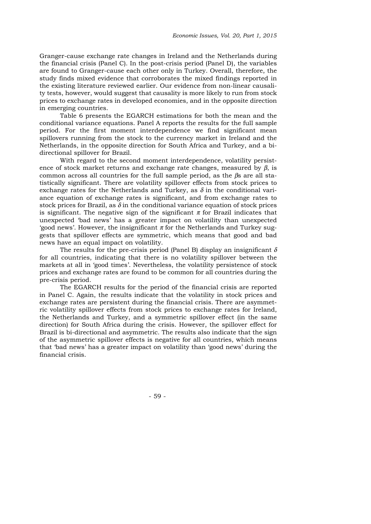Granger-cause exchange rate changes in Ireland and the Netherlands during the financial crisis (Panel C). In the post-crisis period (Panel D), the variables are found to Granger-cause each other only in Turkey. Overall, therefore, the study finds mixed evidence that corroborates the mixed findings reported in the existing literature reviewed earlier. Our evidence from non-linear causality tests, however, would suggest that causality is more likely to run from stock prices to exchange rates in developed economies, and in the opposite direction in emerging countries.

Table 6 presents the EGARCH estimations for both the mean and the conditional variance equations. Panel A reports the results for the full sample period. For the first moment interdependence we find significant mean spillovers running from the stock to the currency market in Ireland and the Netherlands, in the opposite direction for South Africa and Turkey, and a bidirectional spillover for Brazil.

With regard to the second moment interdependence, volatility persistence of stock market returns and exchange rate changes, measured by  $\beta$ , is common across all countries for the full sample period, as the βs are all statistically significant. There are volatility spillover effects from stock prices to exchange rates for the Netherlands and Turkey, as  $\delta$  in the conditional variance equation of exchange rates is significant, and from exchange rates to stock prices for Brazil, as  $\delta$  in the conditional variance equation of stock prices is significant. The negative sign of the significant  $\pi$  for Brazil indicates that unexpected 'bad news' has a greater impact on volatility than unexpected 'good news'. However, the insignificant  $\pi$  for the Netherlands and Turkey suggests that spillover effects are symmetric, which means that good and bad news have an equal impact on volatility.

The results for the pre-crisis period (Panel B) display an insignificant  $\delta$ for all countries, indicating that there is no volatility spillover between the markets at all in 'good times'. Nevertheless, the volatility persistence of stock prices and exchange rates are found to be common for all countries during the pre-crisis period.

The EGARCH results for the period of the financial crisis are reported in Panel C. Again, the results indicate that the volatility in stock prices and exchange rates are persistent during the financial crisis. There are asymmetric volatility spillover effects from stock prices to exchange rates for Ireland, the Netherlands and Turkey, and a symmetric spillover effect (in the same direction) for South Africa during the crisis. However, the spillover effect for Brazil is bi-directional and asymmetric. The results also indicate that the sign of the asymmetric spillover effects is negative for all countries, which means that 'bad news' has a greater impact on volatility than 'good news' during the financial crisis.

- 59 -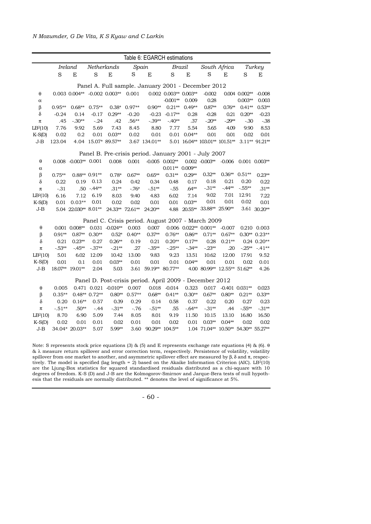|                      | Table 6: EGARCH estimations                          |                         |                 |                                                         |                |                      |                             |                 |                                |              |                         |                   |  |
|----------------------|------------------------------------------------------|-------------------------|-----------------|---------------------------------------------------------|----------------|----------------------|-----------------------------|-----------------|--------------------------------|--------------|-------------------------|-------------------|--|
|                      |                                                      | Ireland                 |                 | Netherlands                                             | Spain          |                      |                             | Brazil          |                                | South Africa |                         | Turkey            |  |
|                      | S                                                    | $\mathbf E$             | S               | $\mathbf E$                                             | $\rm S$        | E                    | $\rm S$                     | E               | S                              | $\mathbf E$  | $\rm S$                 | E                 |  |
|                      | Panel A. Full sample. January 2001 - December 2012   |                         |                 |                                                         |                |                      |                             |                 |                                |              |                         |                   |  |
| θ                    |                                                      |                         |                 | $0.003$ $0.004**$ -0.002 $0.003**$ 0.001                |                |                      | $0.002$ $0.003**$ $0.003**$ |                 | $-0.002$                       |              | 0.004 0.002**           | $-0.008$          |  |
| $\alpha$             |                                                      |                         |                 |                                                         |                |                      | $-0.001**$                  | 0.009           | 0.28                           |              | $0.003**$               | 0.003             |  |
| β                    | $0.95**$                                             | $0.68**$                | $0.75**$        |                                                         | $0.38* 0.97**$ | $0.90**$             | $0.21**$                    | $0.49**$        | $0.87**$                       | $0.76**$     | $0.41**$                | $0.53**$          |  |
| δ                    | $-0.24$                                              | 0.14                    | $-0.17$         | $0.29**$                                                | $-0.20$        | $-0.23$              | $-0.17**$                   | 0.28            | $-0.28$                        | 0.21         | $0.20**$                | $-0.23$           |  |
| $\pi$                | .45                                                  | $-.30**$                | $-24$           | .42                                                     | $.56**$        | $-.39**$             | $-40**$                     | .37             | $-20**$                        | $-29**$      | $-.30$                  | $-0.38$           |  |
| LB <sup>2</sup> (10) | 7.76                                                 | 9.92                    | 5.69            | 7.43                                                    | 8.45           | 8.80                 | 7.77                        | 5.54            | 5.65                           | 4.09         | 9.90                    | 8.53              |  |
| $K-S(D)$             | 0.02                                                 | 0.2                     | 0.01            | $0.03**$                                                | 0.02           | 0.01                 |                             | $0.01$ $0.04**$ | 0.01                           | 0.01         | 0.02                    | 0.01              |  |
| J-B                  | 123.04                                               |                         |                 | 4.04 15.07* 89.57**                                     |                | 3.67 134.01**        |                             |                 | 5.01 16.04** 103.01** 101.51** |              |                         | 3.11** 91.21**    |  |
|                      | Panel B. Pre-crisis period. January 2001 - July 2007 |                         |                 |                                                         |                |                      |                             |                 |                                |              |                         |                   |  |
| θ                    |                                                      | $0.008 - 0.003** 0.001$ |                 | 0.008                                                   | 0.001          |                      | $-0.005$ 0.002**            |                 | $0.002 -0.003** -0.006$        |              |                         | $0.001$ $0.003**$ |  |
| $\alpha$             |                                                      |                         |                 |                                                         |                |                      | $0.011** 0.009**$           |                 |                                |              |                         |                   |  |
| β                    | $0.75**$                                             |                         | $0.88** 0.91**$ | $0.78*$                                                 | $0.67**$       | $0.65**$             | $0.31**$                    | $0.29**$        | $0.32**$                       | $0.36**$     | $0.51**$                | $0.23**$          |  |
| δ                    | 0.22                                                 | 0.19                    | 0.13            | 0.24                                                    | 0.42           | 0.34                 | 0.48                        | 0.17            | 0.18                           | 0.21         | 0.20                    | 0.22              |  |
| π                    | $-.31$                                               |                         | $.50 - .44**$   | $.31**$                                                 | $-76*$         | $-51**$              | $-.55$                      | $.64**$         | $-31**$                        | $-44**$      | $-.55**$                | $.31**$           |  |
| LB <sup>2</sup> (10) | 6.16                                                 | 7.12                    | 6.19            | 8.03                                                    | 9.40           | 4.83                 | 6.02                        | 7.14            | 9.02                           | 7.01         | 12.91                   | 7.22              |  |
| $K-S(D)$             | 0.01                                                 | $0.03**$                | 0.01            | 0.02                                                    | 0.02           | 0.01                 | 0.01                        | $0.03**$        | 0.01                           | 0.01         | 0.02                    | 0.01              |  |
| J-B                  |                                                      | 5.04 22.030** 8.01**    |                 | 24.33** 72.61**                                         |                | 24.20**              | 4.88                        |                 | 20.55** 33.88** 25.90**        |              |                         | 3.61 30.20**      |  |
|                      |                                                      |                         |                 | Panel C. Crisis period. August 2007 - March 2009        |                |                      |                             |                 |                                |              |                         |                   |  |
| $\theta$             |                                                      | $0.001$ $0.008**$       |                 | $0.031 - 0.024**$                                       | 0.003          | 0.007                |                             |                 | $0.006$ $0.022**$ $0.001**$    | $-0.007$     |                         | 0.210 0.003       |  |
| β                    | $0.91**$                                             | $0.87**$                | $0.30**$        | $0.52*$                                                 | $0.40**$       | $0.37**$             | $0.76**$                    | $0.86**$        | $0.71**$                       | $0.67**$     |                         | $0.30**0.23**$    |  |
| $\delta$             | 0.21                                                 | $0.23**$                | 0.27            | $0.26**$                                                | 0.19           | 0.21                 | $0.20**$                    | $0.17**$        | 0.28                           | $0.21**$     |                         | $0.24$ $0.20**$   |  |
| $\pi$                | $-53**$                                              | $-45**$                 | $-.37**$        | $-21**$                                                 | .27            | $-.35**$             | $-.25**$                    | $-34**$         | $-23**$                        | .20          |                         | $-25** -41**$     |  |
| LB <sup>2</sup> (10) | 5.01                                                 | 6.02                    | 12.09           | 10.42                                                   | 13.00          | 9.83                 | 9.23                        | 13.51           | 10.62                          | 12.00        | 17.91                   | 9.52              |  |
| $K-S(D)$             | 0.01                                                 | 0.1                     | 0.01            | $0.03**$                                                | 0.01           | 0.01                 | 0.01                        | $0.04**$        | 0.01                           | 0.01         | 0.02                    | 0.01              |  |
| J-B                  |                                                      | 18.07** 19.01**         | 2.04            | 5.03                                                    |                | 3.61 59.19** 80.77** |                             |                 | 4.00 80.99** 12.55** 51.62**   |              |                         | 4.26              |  |
|                      |                                                      |                         |                 | Panel D. Post-crisis period. April 2009 - December 2012 |                |                      |                             |                 |                                |              |                         |                   |  |
| θ                    | 0.005                                                |                         |                 | $0.471$ $0.021$ $-0.010**$                              | 0.007          |                      | 0.018 -0.014                | 0.323           | 0.017                          |              | $-0.401$ $0.031**$      | 0.023             |  |
| β                    | $0.35**$                                             |                         | $0.48**0.72**$  | $0.80**$                                                | $0.57**$       | $0.68**$             | $0.41**$                    | $0.30**$        | $0.67**$                       | $0.80**$     | $0.21**$                | $0.33**$          |  |
| δ                    | 0.20                                                 | $0.16**$                | 0.57            | 0.39                                                    | 0.29           | 0.14                 | 0.58                        | 0.37            | 0.22                           | 0.20         | 0.27                    | 0.23              |  |
| $\pi$                | $-.51**$                                             | $.50**$                 | $-.44$          | $-31**$                                                 | $-76$          | $-51**$              | .55                         | $-64**$         | $-31**$                        | .44          | $-.55**$                | $-31**$           |  |
| LB <sup>2</sup> (10) | 8.70                                                 | 6.90                    | 5.09            | 7.44                                                    | 8.05           | 8.01                 | 9.19                        | 11.50           | 10.15                          | 13.10        | 16.80                   | 16.50             |  |
| $K-S(D)$             | 0.02                                                 | 0.01                    | 0.01            | 0.02                                                    | 0.01           | 0.01                 | 0.02                        | 0.01            | $0.03**$                       | $0.04**$     | 0.02                    | 0.02              |  |
| J-B                  |                                                      | 34.04* 20.03**          | 5.07            | 5.99**                                                  | 3.60           |                      | 90.29** 104.5**             |                 | 1.04 71.04**                   |              | 10.50** 54.30** 55.27** |                   |  |
|                      |                                                      |                         |                 |                                                         |                |                      |                             |                 |                                |              |                         |                   |  |

Note: S represents stock price equations (3) & (5) and E represents exchange rate equations (4) & (6). θ & λ measure return spillover and error correction term, respectively. Persistence of volatility, volatility spillover from one market to another, and asymmetric spillover effect are measured by β, δ and π, respectively. The model is specified (lag length  $= 2$ ) based on the Akaike Information Criterion (AIC). LB<sup>2</sup>(10) are the Ljung-Box statistics for squared standardised residuals distributed as a chi-square with 10 degrees of freedom. K-S (D) and J-B are the Kolmogorov-Smirnov and Jarque-Bera tests of null hypothesis that the residuals are normally distributed. \*\* denotes the level of significance at 5%.

- 60 -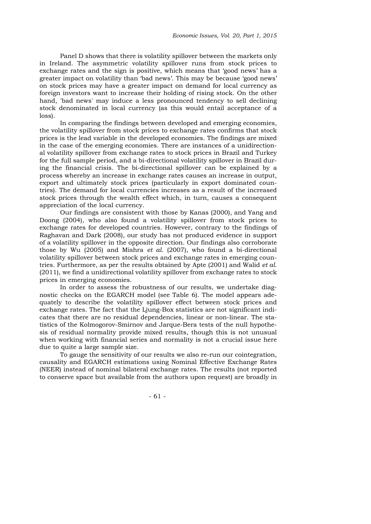Panel D shows that there is volatility spillover between the markets only in Ireland. The asymmetric volatility spillover runs from stock prices to exchange rates and the sign is positive, which means that 'good news' has a greater impact on volatility than 'bad news'. This may be because 'good news' on stock prices may have a greater impact on demand for local currency as foreign investors want to increase their holding of rising stock. On the other hand, 'bad news' may induce a less pronounced tendency to sell declining stock denominated in local currency (as this would entail acceptance of a loss).

In comparing the findings between developed and emerging economies, the volatility spillover from stock prices to exchange rates confirms that stock prices is the lead variable in the developed economies. The findings are mixed in the case of the emerging economies. There are instances of a unidirectional volatility spillover from exchange rates to stock prices in Brazil and Turkey for the full sample period, and a bi-directional volatility spillover in Brazil during the financial crisis. The bi-directional spillover can be explained by a process whereby an increase in exchange rates causes an increase in output, export and ultimately stock prices (particularly in export dominated countries). The demand for local currencies increases as a result of the increased stock prices through the wealth effect which, in turn, causes a consequent appreciation of the local currency.

Our findings are consistent with those by Kanas (2000), and Yang and Doong (2004), who also found a volatility spillover from stock prices to exchange rates for developed countries. However, contrary to the findings of Raghavan and Dark (2008), our study has not produced evidence in support of a volatility spillover in the opposite direction. Our findings also corroborate those by Wu (2005) and Mishra *et al*. (2007), who found a bi-directional volatility spillover between stock prices and exchange rates in emerging countries. Furthermore, as per the results obtained by Apte (2001) and Walid *et al*. (2011), we find a unidirectional volatility spillover from exchange rates to stock prices in emerging economies.

In order to assess the robustness of our results, we undertake diagnostic checks on the EGARCH model (see Table 6). The model appears adequately to describe the volatility spillover effect between stock prices and exchange rates. The fact that the Ljung-Box statistics are not significant indicates that there are no residual dependencies, linear or non-linear. The statistics of the Kolmogorov-Smirnov and Jarque-Bera tests of the null hypothesis of residual normality provide mixed results, though this is not unusual when working with financial series and normality is not a crucial issue here due to quite a large sample size.

To gauge the sensitivity of our results we also re-run our cointegration, causality and EGARCH estimations using Nominal Effective Exchange Rates (NEER) instead of nominal bilateral exchange rates. The results (not reported to conserve space but available from the authors upon request) are broadly in

- 61 -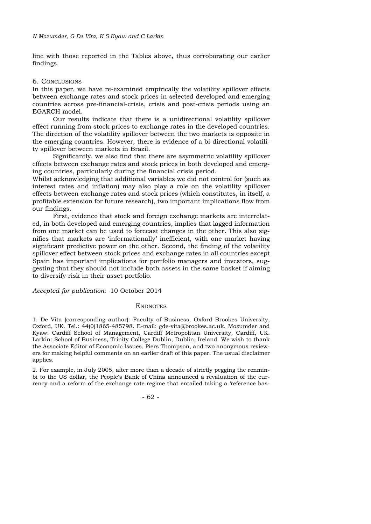line with those reported in the Tables above, thus corroborating our earlier findings.

#### 6. CONCLUSIONS

In this paper, we have re-examined empirically the volatility spillover effects between exchange rates and stock prices in selected developed and emerging countries across pre-financial-crisis, crisis and post-crisis periods using an EGARCH model.

Our results indicate that there is a unidirectional volatility spillover effect running from stock prices to exchange rates in the developed countries. The direction of the volatility spillover between the two markets is opposite in the emerging countries. However, there is evidence of a bi-directional volatility spillover between markets in Brazil.

Significantly, we also find that there are asymmetric volatility spillover effects between exchange rates and stock prices in both developed and emerging countries, particularly during the financial crisis period.

Whilst acknowledging that additional variables we did not control for (such as interest rates and inflation) may also play a role on the volatility spillover effects between exchange rates and stock prices (which constitutes, in itself, a profitable extension for future research), two important implications flow from our findings.

First, evidence that stock and foreign exchange markets are interrelated, in both developed and emerging countries, implies that lagged information from one market can be used to forecast changes in the other. This also signifies that markets are 'informationally' inefficient, with one market having significant predictive power on the other. Second, the finding of the volatility spillover effect between stock prices and exchange rates in all countries except Spain has important implications for portfolio managers and investors, suggesting that they should not include both assets in the same basket if aiming to diversify risk in their asset portfolio.

*Accepted for publication:* 10 October 2014

#### **ENDNOTES**

1. De Vita (corresponding author): Faculty of Business, Oxford Brookes University, Oxford, UK. Tel.: 44(0)1865-485798. E-mail: gde-vita@brookes.ac.uk. Mozumder and Kyaw: Cardiff School of Management, Cardiff Metropolitan University, Cardiff, UK. Larkin: School of Business, Trinity College Dublin, Dublin, Ireland. We wish to thank the Associate Editor of Economic Issues, Piers Thompson, and two anonymous reviewers for making helpful comments on an earlier draft of this paper. The usual disclaimer applies.

2. For example, in July 2005, after more than a decade of strictly pegging the renminbi to the US dollar, the People's Bank of China announced a revaluation of the currency and a reform of the exchange rate regime that entailed taking a 'reference bas-

- 62 -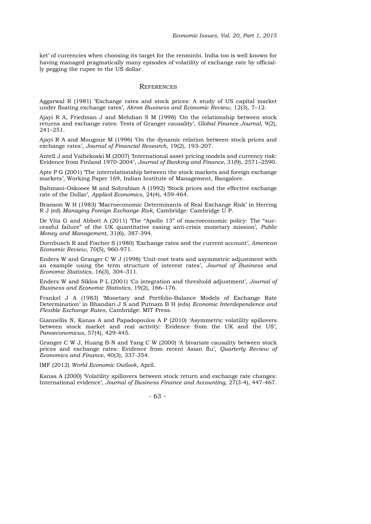ket' of currencies when choosing its target for the renminbi. India too is well known for having managed pragmatically many episodes of volatility of exchange rate by officially pegging the rupee to the US dollar.

#### **REFERENCES**

Aggarwal R (1981) 'Exchange rates and stock prices: A study of US capital market under floating exchange rates', *Akron Business and Economic Review*, 12(3), 7–12.

Ajayi R A, Friedman J and Mehdian S M (1998) 'On the relationship between stock returns and exchange rates: Tests of Granger causality', *Global Finance Journal*, 9(2), 241–251.

Ajayi R A and Mougoue M (1996) 'On the dynamic relation between stock prices and exchange rates', *Journal of Financial Research*, 19(2), 193–207.

Antell J and Vaihekoski M (2007) 'International asset pricing models and currency risk: Evidence from Finland 1970-2004', *Journal of Banking and Finance,* 31(9), 2571–2590.

Apte P G (2001) 'The interrelationship between the stock markets and foreign exchange markets', Working Paper 169, Indian Institute of Management, Bangalore.

Bahmani-Oskooee M and Sohrabian A (1992) 'Stock prices and the effective exchange rate of the Dollar', *Applied Economics*, 24(4), 459-464.

Branson W H (1983) 'Macroeconomic Determinants of Real Exchange Risk' in Herring R J (ed) *Managing Foreign Exchange Risk*, Cambridge: Cambridge U P.

De Vita G and Abbott A (2011) 'The "Apollo 13" of macroeconomic policy: The "successful failure" of the UK quantitative easing anti-crisis monetary mission', *Public Money and Management*, 31(6), 387-394.

Dornbusch R and Fischer S (1980) 'Exchange rates and the current account', *American Economic Review*, 70(5), 960-971.

Enders W and Granger C W J (1998) 'Unit-root tests and asymmetric adjustment with an example using the term structure of interest rates', *Journal of Business and Economic Statistics*, 16(3), 304–311.

Enders W and Siklos P L (2001) 'Co integration and threshold adjustment', *Journal of Business and Economic Statistics*, 19(2), 166–176.

Frankel J A (1983) 'Monetary and Portfolio-Balance Models of Exchange Rate Determination' in Bhandari J S and Putnam B H (eds) *Economic Interdependence and Flexible Exchange Rates*, Cambridge: MIT Press.

Giannellis N, Kanas A and Papadopoulos A P (2010) 'Asymmetric volatility spillovers between stock market and real activity: Evidence from the UK and the US', *Panoeconomicus*, 57(4), 429-445.

Granger C W J, Huang B-N and Yang C W (2000) 'A bivariate causality between stock prices and exchange rates: Evidence from recent Asian flu', *Quarterly Review of Economics and Finance*, 40(3), 337-354.

IMF (2012) *World Economic Outlook*, April.

Kanas A (2000) 'Volatility spillovers between stock return and exchange rate changes: International evidence', *Journal of Business Finance and Accounting*, 27(3-4), 447-467.

- 63 -